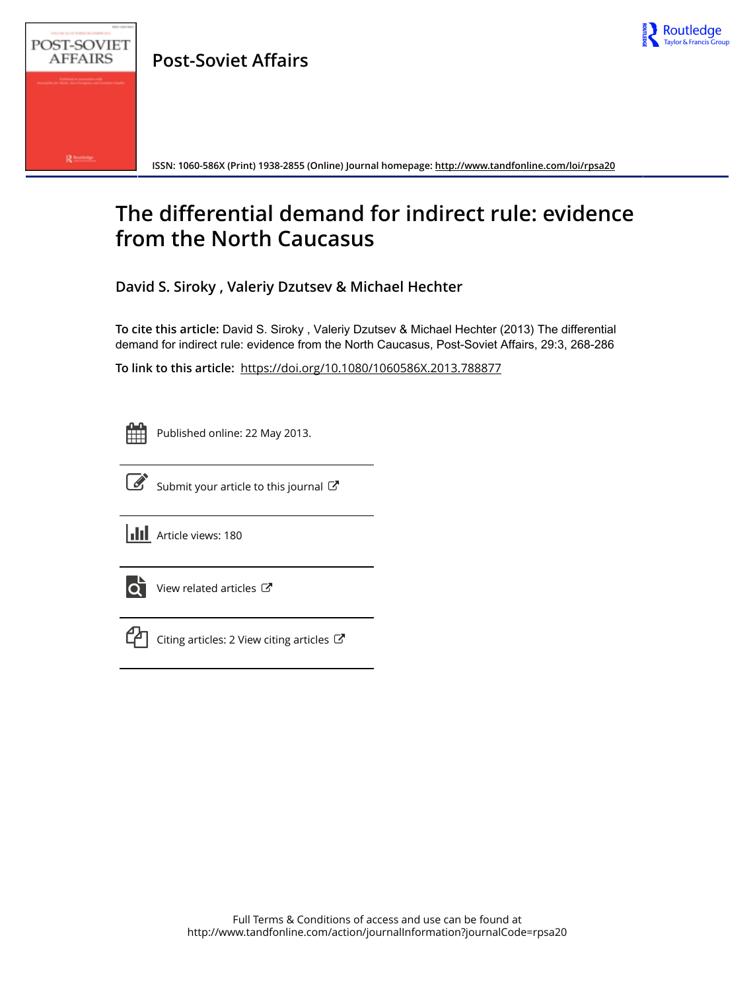

**Post-Soviet Affairs**



**ISSN: 1060-586X (Print) 1938-2855 (Online) Journal homepage: <http://www.tandfonline.com/loi/rpsa20>**

# **The differential demand for indirect rule: evidence from the North Caucasus**

**David S. Siroky , Valeriy Dzutsev & Michael Hechter**

**To cite this article:** David S. Siroky , Valeriy Dzutsev & Michael Hechter (2013) The differential demand for indirect rule: evidence from the North Caucasus, Post-Soviet Affairs, 29:3, 268-286

**To link to this article:** <https://doi.org/10.1080/1060586X.2013.788877>

Published online: 22 May 2013.



 $\overrightarrow{S}$  [Submit your article to this journal](http://www.tandfonline.com/action/authorSubmission?journalCode=rpsa20&show=instructions)  $\overrightarrow{S}$ 





[View related articles](http://www.tandfonline.com/doi/mlt/10.1080/1060586X.2013.788877) C



[Citing articles: 2 View citing articles](http://www.tandfonline.com/doi/citedby/10.1080/1060586X.2013.788877#tabModule)  $\mathbb{Z}$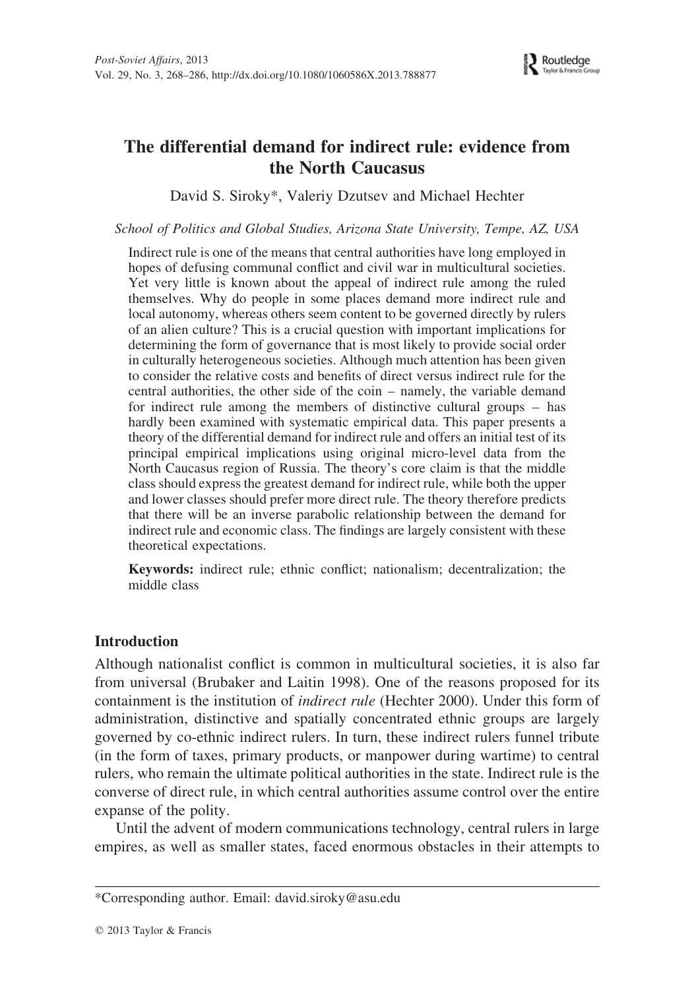

# The differential demand for indirect rule: evidence from the North Caucasus

David S. Siroky\*, Valeriy Dzutsev and Michael Hechter

School of Politics and Global Studies, Arizona State University, Tempe, AZ, USA

Indirect rule is one of the means that central authorities have long employed in hopes of defusing communal conflict and civil war in multicultural societies. Yet very little is known about the appeal of indirect rule among the ruled themselves. Why do people in some places demand more indirect rule and local autonomy, whereas others seem content to be governed directly by rulers of an alien culture? This is a crucial question with important implications for determining the form of governance that is most likely to provide social order in culturally heterogeneous societies. Although much attention has been given to consider the relative costs and benefits of direct versus indirect rule for the central authorities, the other side of the coin – namely, the variable demand for indirect rule among the members of distinctive cultural groups – has hardly been examined with systematic empirical data. This paper presents a theory of the differential demand for indirect rule and offers an initial test of its principal empirical implications using original micro-level data from the North Caucasus region of Russia. The theory's core claim is that the middle class should express the greatest demand for indirect rule, while both the upper and lower classes should prefer more direct rule. The theory therefore predicts that there will be an inverse parabolic relationship between the demand for indirect rule and economic class. The findings are largely consistent with these theoretical expectations.

Keywords: indirect rule; ethnic conflict; nationalism; decentralization; the middle class

### Introduction

Although nationalist conflict is common in multicultural societies, it is also far from universal (Brubaker and Laitin 1998). One of the reasons proposed for its containment is the institution of *indirect rule* (Hechter 2000). Under this form of administration, distinctive and spatially concentrated ethnic groups are largely governed by co-ethnic indirect rulers. In turn, these indirect rulers funnel tribute (in the form of taxes, primary products, or manpower during wartime) to central rulers, who remain the ultimate political authorities in the state. Indirect rule is the converse of direct rule, in which central authorities assume control over the entire expanse of the polity.

Until the advent of modern communications technology, central rulers in large empires, as well as smaller states, faced enormous obstacles in their attempts to

<sup>\*</sup>Corresponding author. Email: david.siroky@asu.edu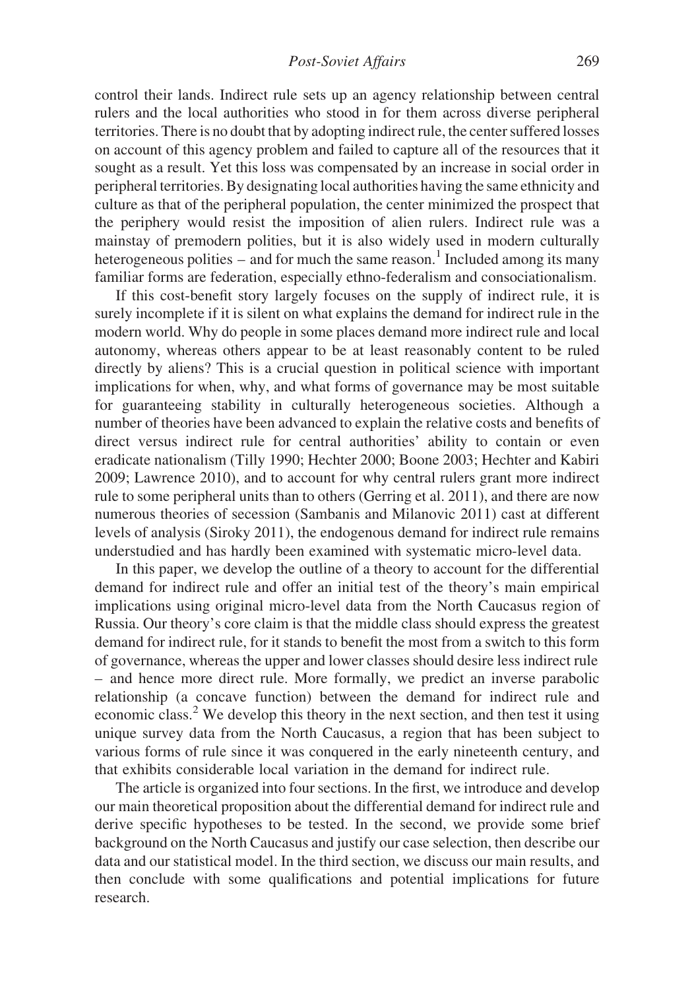control their lands. Indirect rule sets up an agency relationship between central rulers and the local authorities who stood in for them across diverse peripheral territories. There is no doubt that by adopting indirect rule, the center suffered losses on account of this agency problem and failed to capture all of the resources that it sought as a result. Yet this loss was compensated by an increase in social order in peripheral territories. By designating local authorities having the same ethnicity and culture as that of the peripheral population, the center minimized the prospect that the periphery would resist the imposition of alien rulers. Indirect rule was a mainstay of premodern polities, but it is also widely used in modern culturally heterogeneous polities – and for much the same reason.<sup>1</sup> Included among its many familiar forms are federation, especially ethno-federalism and consociationalism.

If this cost-benefit story largely focuses on the supply of indirect rule, it is surely incomplete if it is silent on what explains the demand for indirect rule in the modern world. Why do people in some places demand more indirect rule and local autonomy, whereas others appear to be at least reasonably content to be ruled directly by aliens? This is a crucial question in political science with important implications for when, why, and what forms of governance may be most suitable for guaranteeing stability in culturally heterogeneous societies. Although a number of theories have been advanced to explain the relative costs and benefits of direct versus indirect rule for central authorities' ability to contain or even eradicate nationalism (Tilly 1990; Hechter 2000; Boone 2003; Hechter and Kabiri 2009; Lawrence 2010), and to account for why central rulers grant more indirect rule to some peripheral units than to others (Gerring et al. 2011), and there are now numerous theories of secession (Sambanis and Milanovic 2011) cast at different levels of analysis (Siroky 2011), the endogenous demand for indirect rule remains understudied and has hardly been examined with systematic micro-level data.

In this paper, we develop the outline of a theory to account for the differential demand for indirect rule and offer an initial test of the theory's main empirical implications using original micro-level data from the North Caucasus region of Russia. Our theory's core claim is that the middle class should express the greatest demand for indirect rule, for it stands to benefit the most from a switch to this form of governance, whereas the upper and lower classes should desire less indirect rule – and hence more direct rule. More formally, we predict an inverse parabolic relationship (a concave function) between the demand for indirect rule and economic class.<sup>2</sup> We develop this theory in the next section, and then test it using unique survey data from the North Caucasus, a region that has been subject to various forms of rule since it was conquered in the early nineteenth century, and that exhibits considerable local variation in the demand for indirect rule.

The article is organized into four sections. In the first, we introduce and develop our main theoretical proposition about the differential demand for indirect rule and derive specific hypotheses to be tested. In the second, we provide some brief background on the North Caucasus and justify our case selection, then describe our data and our statistical model. In the third section, we discuss our main results, and then conclude with some qualifications and potential implications for future research.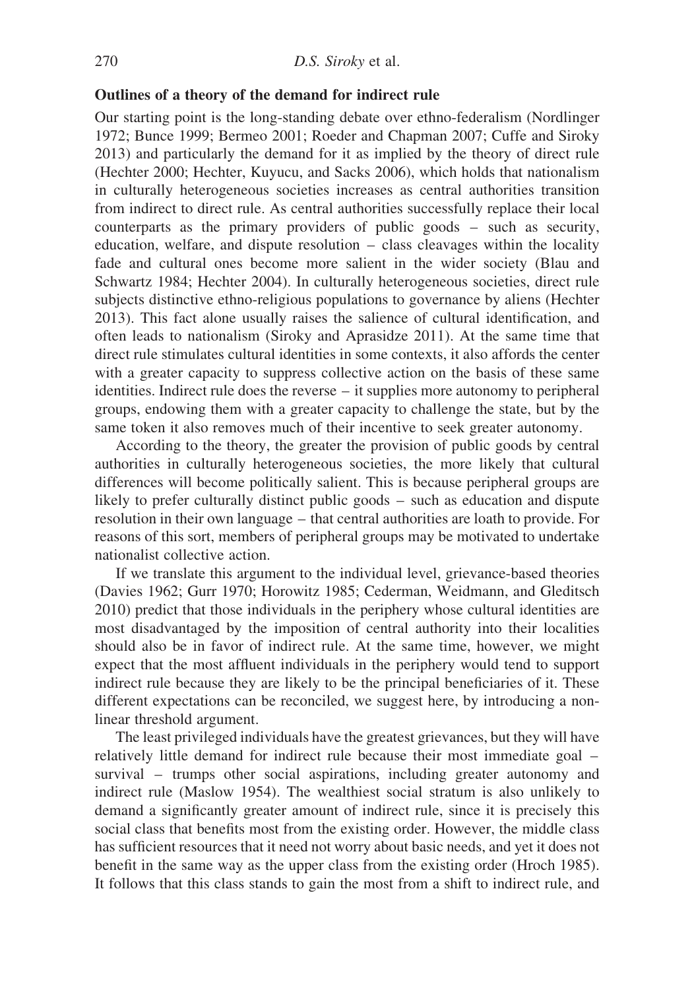#### Outlines of a theory of the demand for indirect rule

Our starting point is the long-standing debate over ethno-federalism (Nordlinger 1972; Bunce 1999; Bermeo 2001; Roeder and Chapman 2007; Cuffe and Siroky 2013) and particularly the demand for it as implied by the theory of direct rule (Hechter 2000; Hechter, Kuyucu, and Sacks 2006), which holds that nationalism in culturally heterogeneous societies increases as central authorities transition from indirect to direct rule. As central authorities successfully replace their local counterparts as the primary providers of public goods – such as security, education, welfare, and dispute resolution – class cleavages within the locality fade and cultural ones become more salient in the wider society (Blau and Schwartz 1984; Hechter 2004). In culturally heterogeneous societies, direct rule subjects distinctive ethno-religious populations to governance by aliens (Hechter 2013). This fact alone usually raises the salience of cultural identification, and often leads to nationalism (Siroky and Aprasidze 2011). At the same time that direct rule stimulates cultural identities in some contexts, it also affords the center with a greater capacity to suppress collective action on the basis of these same identities. Indirect rule does the reverse – it supplies more autonomy to peripheral groups, endowing them with a greater capacity to challenge the state, but by the same token it also removes much of their incentive to seek greater autonomy.

According to the theory, the greater the provision of public goods by central authorities in culturally heterogeneous societies, the more likely that cultural differences will become politically salient. This is because peripheral groups are likely to prefer culturally distinct public goods – such as education and dispute resolution in their own language – that central authorities are loath to provide. For reasons of this sort, members of peripheral groups may be motivated to undertake nationalist collective action.

If we translate this argument to the individual level, grievance-based theories (Davies 1962; Gurr 1970; Horowitz 1985; Cederman, Weidmann, and Gleditsch 2010) predict that those individuals in the periphery whose cultural identities are most disadvantaged by the imposition of central authority into their localities should also be in favor of indirect rule. At the same time, however, we might expect that the most affluent individuals in the periphery would tend to support indirect rule because they are likely to be the principal beneficiaries of it. These different expectations can be reconciled, we suggest here, by introducing a nonlinear threshold argument.

The least privileged individuals have the greatest grievances, but they will have relatively little demand for indirect rule because their most immediate goal – survival – trumps other social aspirations, including greater autonomy and indirect rule (Maslow 1954). The wealthiest social stratum is also unlikely to demand a significantly greater amount of indirect rule, since it is precisely this social class that benefits most from the existing order. However, the middle class has sufficient resources that it need not worry about basic needs, and yet it does not benefit in the same way as the upper class from the existing order (Hroch 1985). It follows that this class stands to gain the most from a shift to indirect rule, and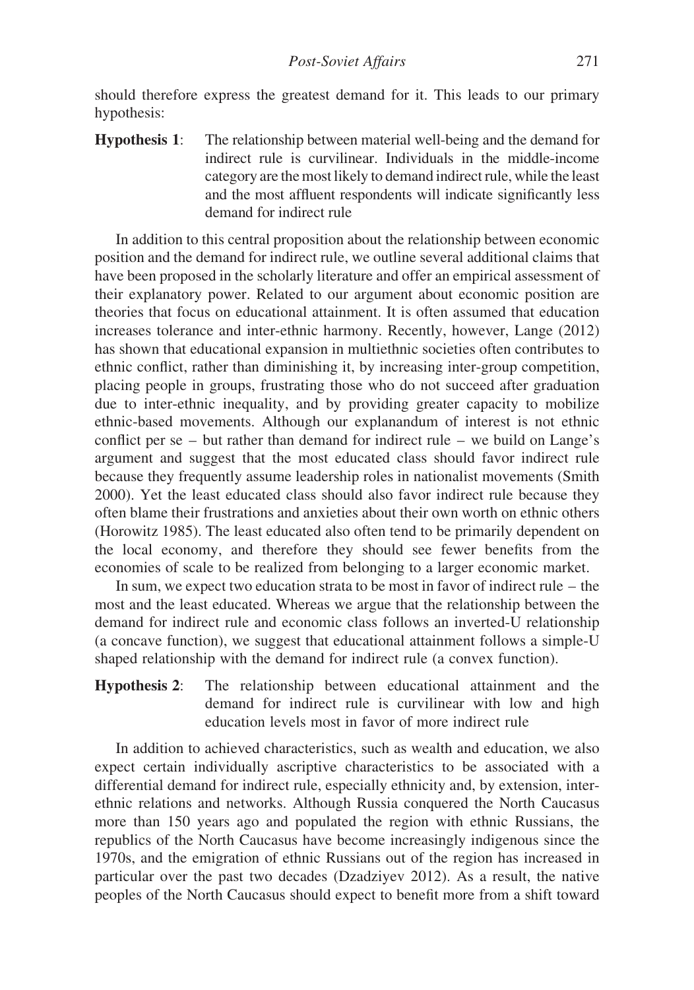should therefore express the greatest demand for it. This leads to our primary hypothesis:

Hypothesis 1: The relationship between material well-being and the demand for indirect rule is curvilinear. Individuals in the middle-income category are the most likely to demand indirect rule, while the least and the most affluent respondents will indicate significantly less demand for indirect rule

In addition to this central proposition about the relationship between economic position and the demand for indirect rule, we outline several additional claims that have been proposed in the scholarly literature and offer an empirical assessment of their explanatory power. Related to our argument about economic position are theories that focus on educational attainment. It is often assumed that education increases tolerance and inter-ethnic harmony. Recently, however, Lange (2012) has shown that educational expansion in multiethnic societies often contributes to ethnic conflict, rather than diminishing it, by increasing inter-group competition, placing people in groups, frustrating those who do not succeed after graduation due to inter-ethnic inequality, and by providing greater capacity to mobilize ethnic-based movements. Although our explanandum of interest is not ethnic conflict per se – but rather than demand for indirect rule – we build on Lange's argument and suggest that the most educated class should favor indirect rule because they frequently assume leadership roles in nationalist movements (Smith 2000). Yet the least educated class should also favor indirect rule because they often blame their frustrations and anxieties about their own worth on ethnic others (Horowitz 1985). The least educated also often tend to be primarily dependent on the local economy, and therefore they should see fewer benefits from the economies of scale to be realized from belonging to a larger economic market.

In sum, we expect two education strata to be most in favor of indirect rule – the most and the least educated. Whereas we argue that the relationship between the demand for indirect rule and economic class follows an inverted-U relationship (a concave function), we suggest that educational attainment follows a simple-U shaped relationship with the demand for indirect rule (a convex function).

Hypothesis 2: The relationship between educational attainment and the demand for indirect rule is curvilinear with low and high education levels most in favor of more indirect rule

In addition to achieved characteristics, such as wealth and education, we also expect certain individually ascriptive characteristics to be associated with a differential demand for indirect rule, especially ethnicity and, by extension, interethnic relations and networks. Although Russia conquered the North Caucasus more than 150 years ago and populated the region with ethnic Russians, the republics of the North Caucasus have become increasingly indigenous since the 1970s, and the emigration of ethnic Russians out of the region has increased in particular over the past two decades (Dzadziyev 2012). As a result, the native peoples of the North Caucasus should expect to benefit more from a shift toward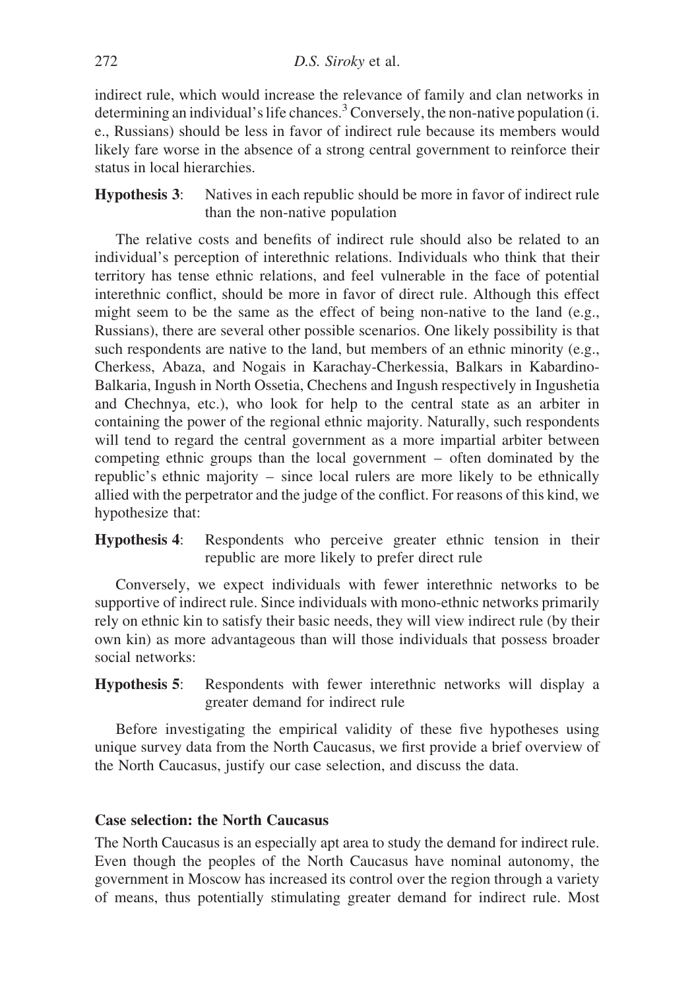indirect rule, which would increase the relevance of family and clan networks in determining an individual's life chances.<sup>3</sup> Conversely, the non-native population (i. e., Russians) should be less in favor of indirect rule because its members would likely fare worse in the absence of a strong central government to reinforce their status in local hierarchies.

Hypothesis 3: Natives in each republic should be more in favor of indirect rule than the non-native population

The relative costs and benefits of indirect rule should also be related to an individual's perception of interethnic relations. Individuals who think that their territory has tense ethnic relations, and feel vulnerable in the face of potential interethnic conflict, should be more in favor of direct rule. Although this effect might seem to be the same as the effect of being non-native to the land  $(e.g.,)$ Russians), there are several other possible scenarios. One likely possibility is that such respondents are native to the land, but members of an ethnic minority (e.g., Cherkess, Abaza, and Nogais in Karachay-Cherkessia, Balkars in Kabardino-Balkaria, Ingush in North Ossetia, Chechens and Ingush respectively in Ingushetia and Chechnya, etc.), who look for help to the central state as an arbiter in containing the power of the regional ethnic majority. Naturally, such respondents will tend to regard the central government as a more impartial arbiter between competing ethnic groups than the local government – often dominated by the republic's ethnic majority – since local rulers are more likely to be ethnically allied with the perpetrator and the judge of the conflict. For reasons of this kind, we hypothesize that:

Hypothesis 4: Respondents who perceive greater ethnic tension in their republic are more likely to prefer direct rule

Conversely, we expect individuals with fewer interethnic networks to be supportive of indirect rule. Since individuals with mono-ethnic networks primarily rely on ethnic kin to satisfy their basic needs, they will view indirect rule (by their own kin) as more advantageous than will those individuals that possess broader social networks:

Hypothesis 5: Respondents with fewer interethnic networks will display a greater demand for indirect rule

Before investigating the empirical validity of these five hypotheses using unique survey data from the North Caucasus, we first provide a brief overview of the North Caucasus, justify our case selection, and discuss the data.

### Case selection: the North Caucasus

The North Caucasus is an especially apt area to study the demand for indirect rule. Even though the peoples of the North Caucasus have nominal autonomy, the government in Moscow has increased its control over the region through a variety of means, thus potentially stimulating greater demand for indirect rule. Most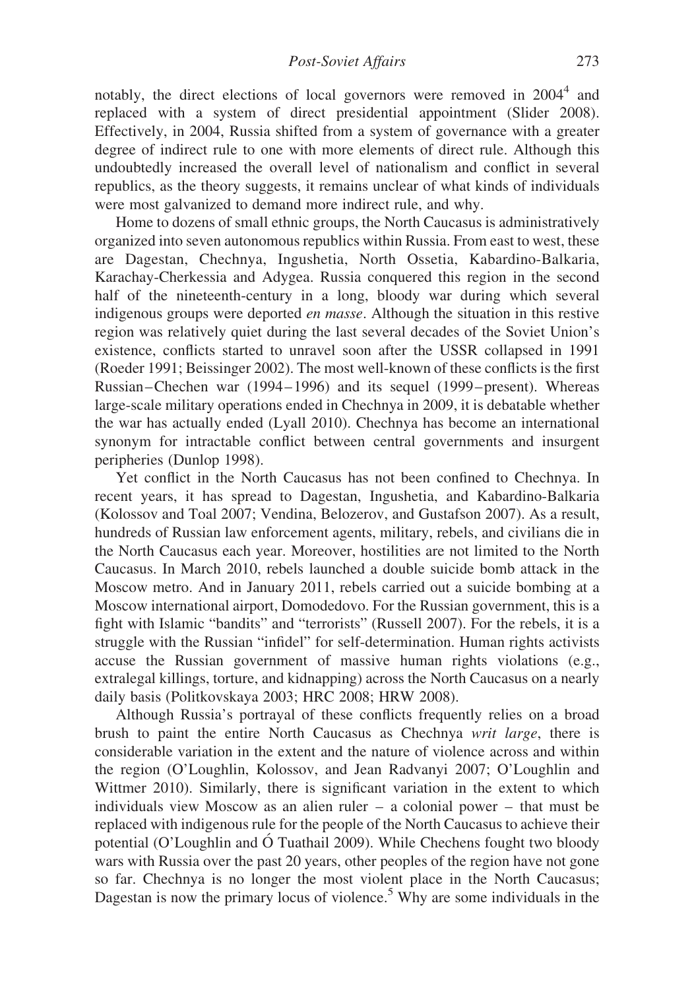notably, the direct elections of local governors were removed in 2004<sup>4</sup> and replaced with a system of direct presidential appointment (Slider 2008). Effectively, in 2004, Russia shifted from a system of governance with a greater degree of indirect rule to one with more elements of direct rule. Although this undoubtedly increased the overall level of nationalism and conflict in several republics, as the theory suggests, it remains unclear of what kinds of individuals were most galvanized to demand more indirect rule, and why.

Home to dozens of small ethnic groups, the North Caucasus is administratively organized into seven autonomous republics within Russia. From east to west, these are Dagestan, Chechnya, Ingushetia, North Ossetia, Kabardino-Balkaria, Karachay-Cherkessia and Adygea. Russia conquered this region in the second half of the nineteenth-century in a long, bloody war during which several indigenous groups were deported en masse. Although the situation in this restive region was relatively quiet during the last several decades of the Soviet Union's existence, conflicts started to unravel soon after the USSR collapsed in 1991 (Roeder 1991; Beissinger 2002). The most well-known of these conflicts is the first Russian –Chechen war (1994– 1996) and its sequel (1999– present). Whereas large-scale military operations ended in Chechnya in 2009, it is debatable whether the war has actually ended (Lyall 2010). Chechnya has become an international synonym for intractable conflict between central governments and insurgent peripheries (Dunlop 1998).

Yet conflict in the North Caucasus has not been confined to Chechnya. In recent years, it has spread to Dagestan, Ingushetia, and Kabardino-Balkaria (Kolossov and Toal 2007; Vendina, Belozerov, and Gustafson 2007). As a result, hundreds of Russian law enforcement agents, military, rebels, and civilians die in the North Caucasus each year. Moreover, hostilities are not limited to the North Caucasus. In March 2010, rebels launched a double suicide bomb attack in the Moscow metro. And in January 2011, rebels carried out a suicide bombing at a Moscow international airport, Domodedovo. For the Russian government, this is a fight with Islamic "bandits" and "terrorists" (Russell 2007). For the rebels, it is a struggle with the Russian "infidel" for self-determination. Human rights activists accuse the Russian government of massive human rights violations (e.g., extralegal killings, torture, and kidnapping) across the North Caucasus on a nearly daily basis (Politkovskaya 2003; HRC 2008; HRW 2008).

Although Russia's portrayal of these conflicts frequently relies on a broad brush to paint the entire North Caucasus as Chechnya writ large, there is considerable variation in the extent and the nature of violence across and within the region (O'Loughlin, Kolossov, and Jean Radvanyi 2007; O'Loughlin and Wittmer 2010). Similarly, there is significant variation in the extent to which individuals view Moscow as an alien ruler – a colonial power – that must be replaced with indigenous rule for the people of the North Caucasus to achieve their potential (O'Loughlin and Ó Tuathail 2009). While Chechens fought two bloody wars with Russia over the past 20 years, other peoples of the region have not gone so far. Chechnya is no longer the most violent place in the North Caucasus; Dagestan is now the primary locus of violence.<sup>5</sup> Why are some individuals in the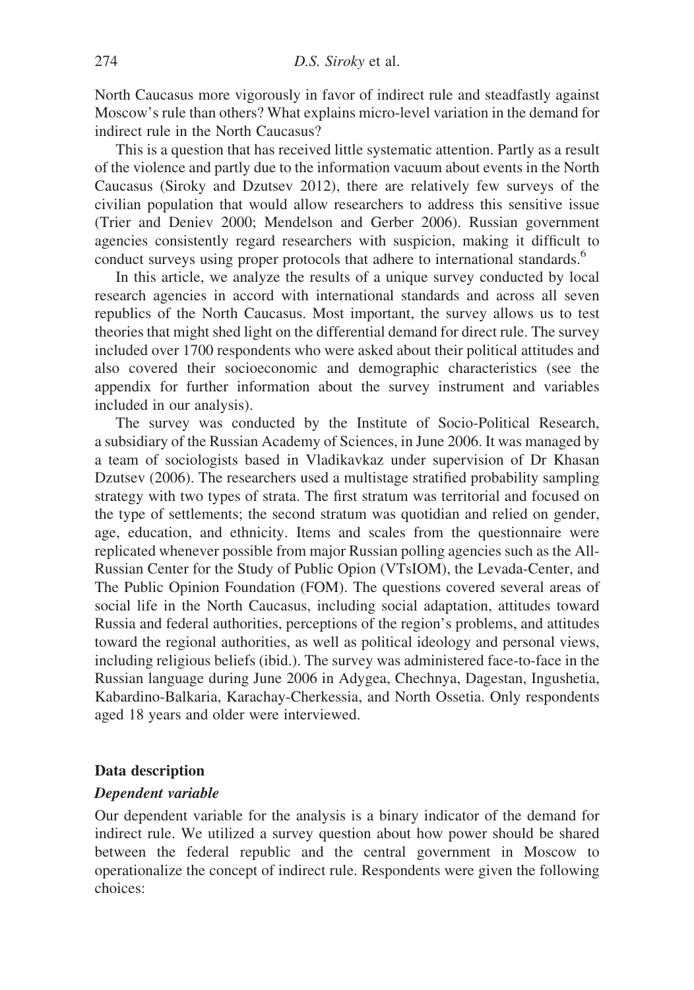North Caucasus more vigorously in favor of indirect rule and steadfastly against Moscow's rule than others? What explains micro-level variation in the demand for indirect rule in the North Caucasus?

This is a question that has received little systematic attention. Partly as a result of the violence and partly due to the information vacuum about events in the North Caucasus (Siroky and Dzutsev 2012), there are relatively few surveys of the civilian population that would allow researchers to address this sensitive issue (Trier and Deniev 2000; Mendelson and Gerber 2006). Russian government agencies consistently regard researchers with suspicion, making it difficult to conduct surveys using proper protocols that adhere to international standards.<sup>6</sup>

In this article, we analyze the results of a unique survey conducted by local research agencies in accord with international standards and across all seven republics of the North Caucasus. Most important, the survey allows us to test theories that might shed light on the differential demand for direct rule. The survey included over 1700 respondents who were asked about their political attitudes and also covered their socioeconomic and demographic characteristics (see the appendix for further information about the survey instrument and variables included in our analysis).

The survey was conducted by the Institute of Socio-Political Research, a subsidiary of the Russian Academy of Sciences, in June 2006. It was managed by a team of sociologists based in Vladikavkaz under supervision of Dr Khasan Dzutsev (2006). The researchers used a multistage stratified probability sampling strategy with two types of strata. The first stratum was territorial and focused on the type of settlements; the second stratum was quotidian and relied on gender, age, education, and ethnicity. Items and scales from the questionnaire were replicated whenever possible from major Russian polling agencies such as the All-Russian Center for the Study of Public Opion (VTsIOM), the Levada-Center, and The Public Opinion Foundation (FOM). The questions covered several areas of social life in the North Caucasus, including social adaptation, attitudes toward Russia and federal authorities, perceptions of the region's problems, and attitudes toward the regional authorities, as well as political ideology and personal views, including religious beliefs (ibid.). The survey was administered face-to-face in the Russian language during June 2006 in Adygea, Chechnya, Dagestan, Ingushetia, Kabardino-Balkaria, Karachay-Cherkessia, and North Ossetia. Only respondents aged 18 years and older were interviewed.

### Data description

### Dependent variable

Our dependent variable for the analysis is a binary indicator of the demand for indirect rule. We utilized a survey question about how power should be shared between the federal republic and the central government in Moscow to operationalize the concept of indirect rule. Respondents were given the following choices: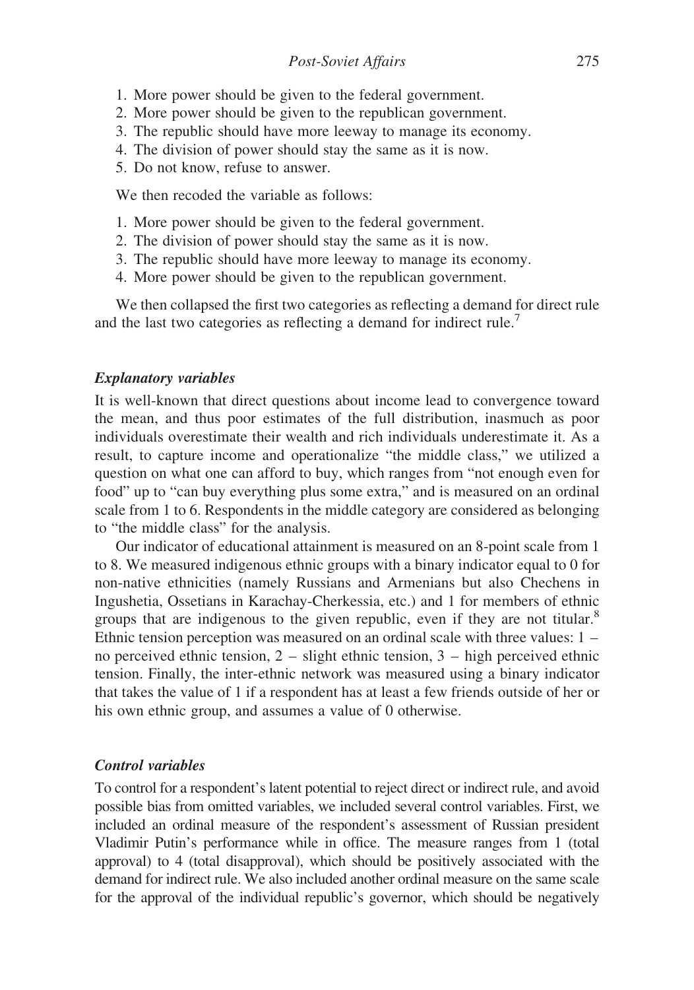- 1. More power should be given to the federal government.
- 2. More power should be given to the republican government.
- 3. The republic should have more leeway to manage its economy.
- 4. The division of power should stay the same as it is now.
- 5. Do not know, refuse to answer.

We then recoded the variable as follows:

- 1. More power should be given to the federal government.
- 2. The division of power should stay the same as it is now.
- 3. The republic should have more leeway to manage its economy.
- 4. More power should be given to the republican government.

We then collapsed the first two categories as reflecting a demand for direct rule and the last two categories as reflecting a demand for indirect rule.<sup>7</sup>

### Explanatory variables

It is well-known that direct questions about income lead to convergence toward the mean, and thus poor estimates of the full distribution, inasmuch as poor individuals overestimate their wealth and rich individuals underestimate it. As a result, to capture income and operationalize "the middle class," we utilized a question on what one can afford to buy, which ranges from "not enough even for food" up to "can buy everything plus some extra," and is measured on an ordinal scale from 1 to 6. Respondents in the middle category are considered as belonging to "the middle class" for the analysis.

Our indicator of educational attainment is measured on an 8-point scale from 1 to 8. We measured indigenous ethnic groups with a binary indicator equal to 0 for non-native ethnicities (namely Russians and Armenians but also Chechens in Ingushetia, Ossetians in Karachay-Cherkessia, etc.) and 1 for members of ethnic groups that are indigenous to the given republic, even if they are not titular.<sup>8</sup> Ethnic tension perception was measured on an ordinal scale with three values: 1 – no perceived ethnic tension,  $2 -$  slight ethnic tension,  $3 -$  high perceived ethnic tension. Finally, the inter-ethnic network was measured using a binary indicator that takes the value of 1 if a respondent has at least a few friends outside of her or his own ethnic group, and assumes a value of 0 otherwise.

### Control variables

To control for a respondent's latent potential to reject direct or indirect rule, and avoid possible bias from omitted variables, we included several control variables. First, we included an ordinal measure of the respondent's assessment of Russian president Vladimir Putin's performance while in office. The measure ranges from 1 (total approval) to 4 (total disapproval), which should be positively associated with the demand for indirect rule. We also included another ordinal measure on the same scale for the approval of the individual republic's governor, which should be negatively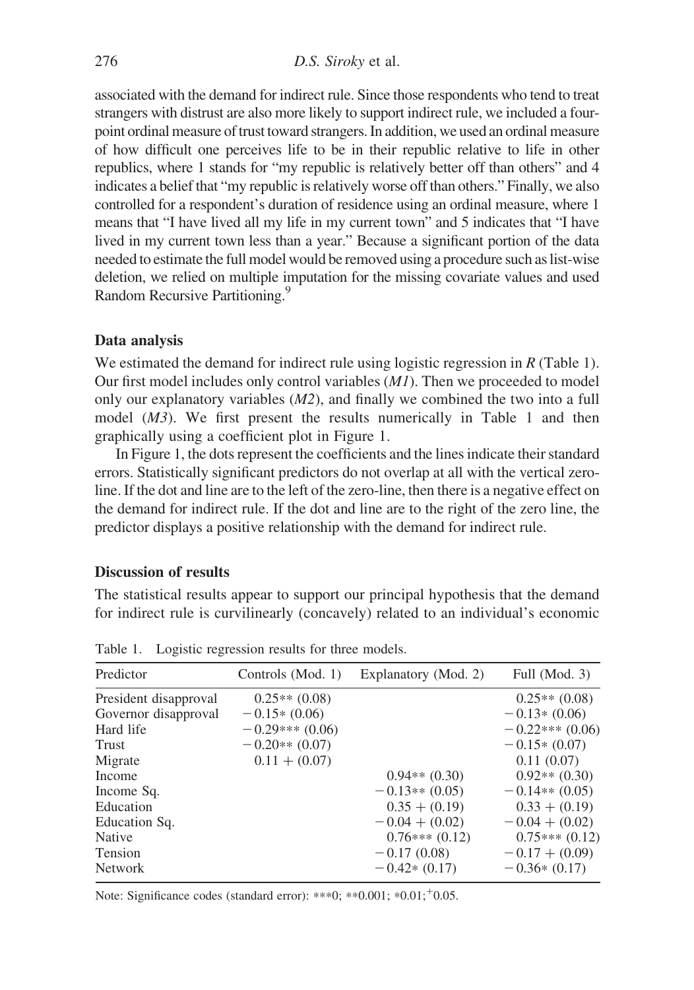associated with the demand for indirect rule. Since those respondents who tend to treat strangers with distrust are also more likely to support indirect rule, we included a fourpoint ordinal measure of trust toward strangers. In addition, we used an ordinal measure of how difficult one perceives life to be in their republic relative to life in other republics, where 1 stands for "my republic is relatively better off than others" and 4 indicates a belief that "my republic is relatively worse off than others." Finally, we also controlled for a respondent's duration of residence using an ordinal measure, where 1 means that "I have lived all my life in my current town" and 5 indicates that "I have lived in my current town less than a year." Because a significant portion of the data needed to estimate the full model would be removed using a procedure such as list-wise deletion, we relied on multiple imputation for the missing covariate values and used Random Recursive Partitioning.<sup>9</sup>

#### Data analysis

We estimated the demand for indirect rule using logistic regression in R (Table 1). Our first model includes only control variables  $(MI)$ . Then we proceeded to model only our explanatory variables (M2), and finally we combined the two into a full model (M3). We first present the results numerically in Table 1 and then graphically using a coefficient plot in Figure 1.

In Figure 1, the dots represent the coefficients and the lines indicate their standard errors. Statistically significant predictors do not overlap at all with the vertical zeroline. If the dot and line are to the left of the zero-line, then there is a negative effect on the demand for indirect rule. If the dot and line are to the right of the zero line, the predictor displays a positive relationship with the demand for indirect rule.

#### Discussion of results

The statistical results appear to support our principal hypothesis that the demand for indirect rule is curvilinearly (concavely) related to an individual's economic

| Predictor             | Controls (Mod. 1) | Explanatory (Mod. 2) | Full (Mod. 3)     |
|-----------------------|-------------------|----------------------|-------------------|
| President disapproval | $0.25**$ (0.08)   |                      | $0.25**$ (0.08)   |
| Governor disapproval  | $-0.15*(0.06)$    |                      | $-0.13*(0.06)$    |
| Hard life             | $-0.29***(0.06)$  |                      | $-0.22***(0.06)$  |
| Trust                 | $-0.20**$ (0.07)  |                      | $-0.15*(0.07)$    |
| Migrate               | $0.11 + (0.07)$   |                      | 0.11(0.07)        |
| Income                |                   | $0.94**$ $(0.30)$    | $0.92**$ $(0.30)$ |
| Income Sq.            |                   | $-0.13**$ (0.05)     | $-0.14**$ (0.05)  |
| Education             |                   | $0.35 + (0.19)$      | $0.33 + (0.19)$   |
| Education Sq.         |                   | $-0.04 + (0.02)$     | $-0.04 + (0.02)$  |
| <b>Native</b>         |                   | $0.76***(0.12)$      | $0.75***(0.12)$   |
| Tension               |                   | $-0.17(0.08)$        | $-0.17 + (0.09)$  |
| <b>Network</b>        |                   | $-0.42*(0.17)$       | $-0.36*(0.17)$    |

Table 1. Logistic regression results for three models.

Note: Significance codes (standard error): \*\*\*0; \*\*0.001; \*0.01; +0.05.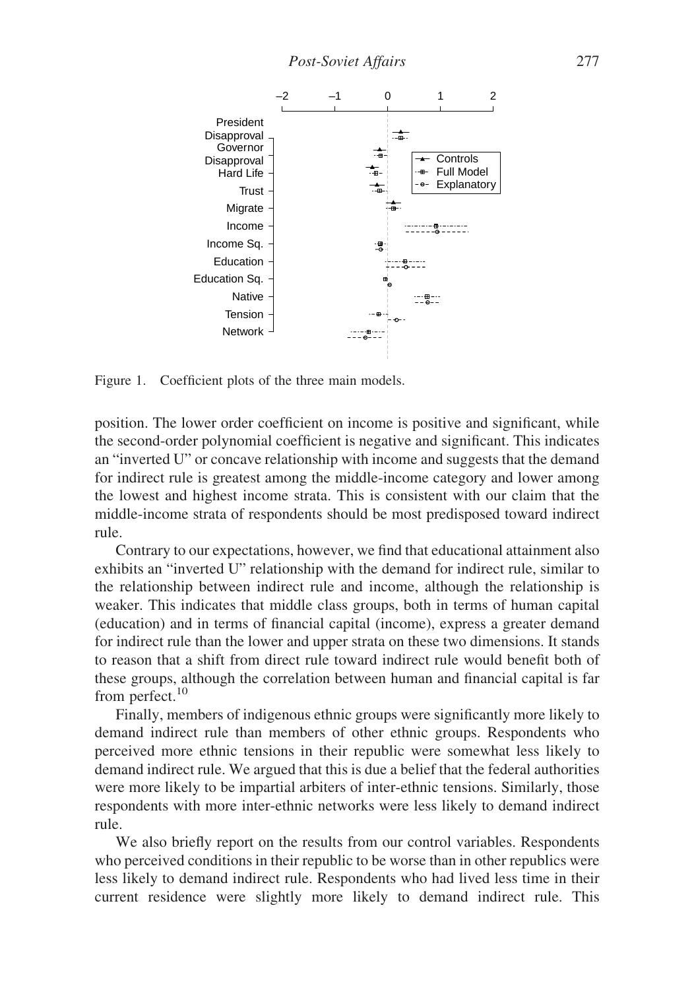

Figure 1. Coefficient plots of the three main models.

position. The lower order coefficient on income is positive and significant, while the second-order polynomial coefficient is negative and significant. This indicates an "inverted U" or concave relationship with income and suggests that the demand for indirect rule is greatest among the middle-income category and lower among the lowest and highest income strata. This is consistent with our claim that the middle-income strata of respondents should be most predisposed toward indirect rule.

Contrary to our expectations, however, we find that educational attainment also exhibits an "inverted U" relationship with the demand for indirect rule, similar to the relationship between indirect rule and income, although the relationship is weaker. This indicates that middle class groups, both in terms of human capital (education) and in terms of financial capital (income), express a greater demand for indirect rule than the lower and upper strata on these two dimensions. It stands to reason that a shift from direct rule toward indirect rule would benefit both of these groups, although the correlation between human and financial capital is far from perfect.<sup>10</sup>

Finally, members of indigenous ethnic groups were significantly more likely to demand indirect rule than members of other ethnic groups. Respondents who perceived more ethnic tensions in their republic were somewhat less likely to demand indirect rule. We argued that this is due a belief that the federal authorities were more likely to be impartial arbiters of inter-ethnic tensions. Similarly, those respondents with more inter-ethnic networks were less likely to demand indirect rule.

We also briefly report on the results from our control variables. Respondents who perceived conditions in their republic to be worse than in other republics were less likely to demand indirect rule. Respondents who had lived less time in their current residence were slightly more likely to demand indirect rule. This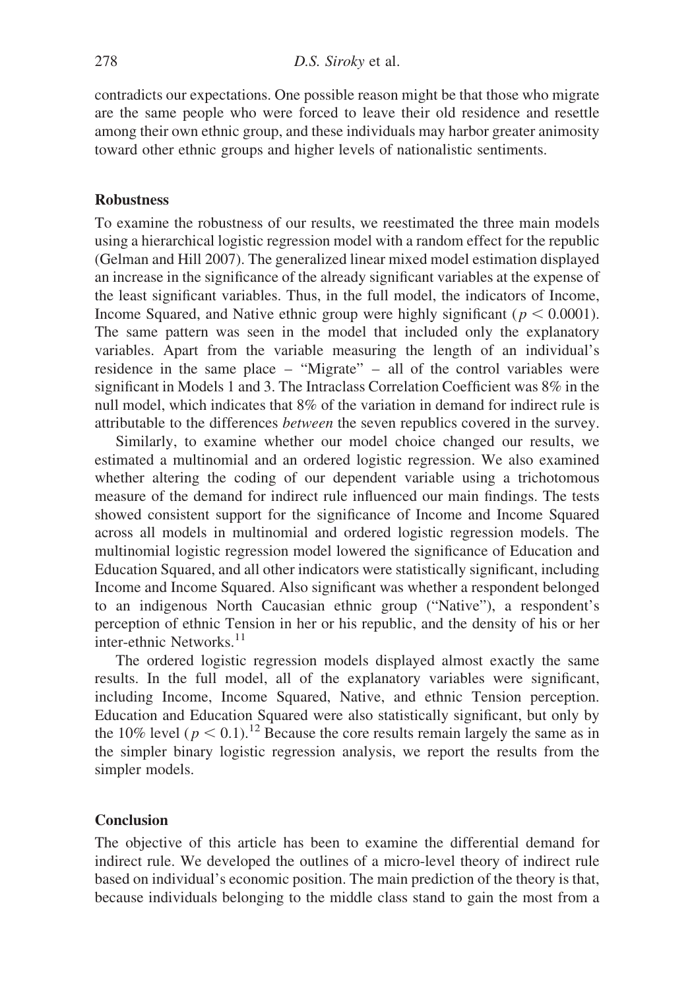contradicts our expectations. One possible reason might be that those who migrate are the same people who were forced to leave their old residence and resettle among their own ethnic group, and these individuals may harbor greater animosity toward other ethnic groups and higher levels of nationalistic sentiments.

### Robustness

To examine the robustness of our results, we reestimated the three main models using a hierarchical logistic regression model with a random effect for the republic (Gelman and Hill 2007). The generalized linear mixed model estimation displayed an increase in the significance of the already significant variables at the expense of the least significant variables. Thus, in the full model, the indicators of Income, Income Squared, and Native ethnic group were highly significant ( $p < 0.0001$ ). The same pattern was seen in the model that included only the explanatory variables. Apart from the variable measuring the length of an individual's residence in the same place – "Migrate" – all of the control variables were significant in Models 1 and 3. The Intraclass Correlation Coefficient was 8% in the null model, which indicates that 8% of the variation in demand for indirect rule is attributable to the differences between the seven republics covered in the survey.

Similarly, to examine whether our model choice changed our results, we estimated a multinomial and an ordered logistic regression. We also examined whether altering the coding of our dependent variable using a trichotomous measure of the demand for indirect rule influenced our main findings. The tests showed consistent support for the significance of Income and Income Squared across all models in multinomial and ordered logistic regression models. The multinomial logistic regression model lowered the significance of Education and Education Squared, and all other indicators were statistically significant, including Income and Income Squared. Also significant was whether a respondent belonged to an indigenous North Caucasian ethnic group ("Native"), a respondent's perception of ethnic Tension in her or his republic, and the density of his or her inter-ethnic Networks. $^{11}$ 

The ordered logistic regression models displayed almost exactly the same results. In the full model, all of the explanatory variables were significant, including Income, Income Squared, Native, and ethnic Tension perception. Education and Education Squared were also statistically significant, but only by the 10% level ( $p < 0.1$ ).<sup>12</sup> Because the core results remain largely the same as in the simpler binary logistic regression analysis, we report the results from the simpler models.

#### **Conclusion**

The objective of this article has been to examine the differential demand for indirect rule. We developed the outlines of a micro-level theory of indirect rule based on individual's economic position. The main prediction of the theory is that, because individuals belonging to the middle class stand to gain the most from a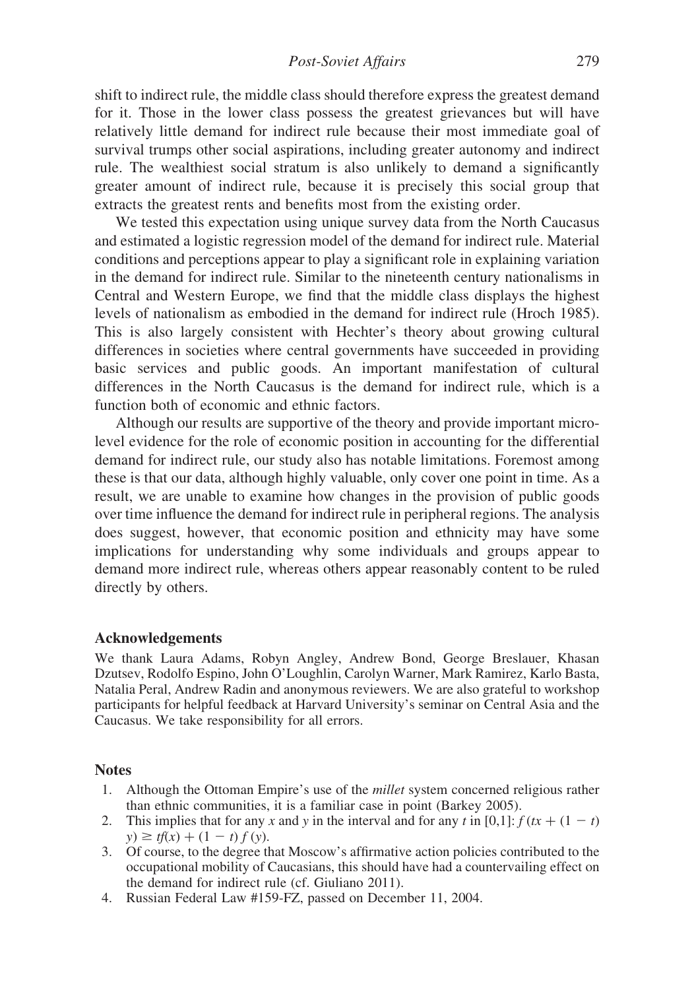shift to indirect rule, the middle class should therefore express the greatest demand for it. Those in the lower class possess the greatest grievances but will have relatively little demand for indirect rule because their most immediate goal of survival trumps other social aspirations, including greater autonomy and indirect rule. The wealthiest social stratum is also unlikely to demand a significantly greater amount of indirect rule, because it is precisely this social group that extracts the greatest rents and benefits most from the existing order.

We tested this expectation using unique survey data from the North Caucasus and estimated a logistic regression model of the demand for indirect rule. Material conditions and perceptions appear to play a significant role in explaining variation in the demand for indirect rule. Similar to the nineteenth century nationalisms in Central and Western Europe, we find that the middle class displays the highest levels of nationalism as embodied in the demand for indirect rule (Hroch 1985). This is also largely consistent with Hechter's theory about growing cultural differences in societies where central governments have succeeded in providing basic services and public goods. An important manifestation of cultural differences in the North Caucasus is the demand for indirect rule, which is a function both of economic and ethnic factors.

Although our results are supportive of the theory and provide important microlevel evidence for the role of economic position in accounting for the differential demand for indirect rule, our study also has notable limitations. Foremost among these is that our data, although highly valuable, only cover one point in time. As a result, we are unable to examine how changes in the provision of public goods over time influence the demand for indirect rule in peripheral regions. The analysis does suggest, however, that economic position and ethnicity may have some implications for understanding why some individuals and groups appear to demand more indirect rule, whereas others appear reasonably content to be ruled directly by others.

#### Acknowledgements

We thank Laura Adams, Robyn Angley, Andrew Bond, George Breslauer, Khasan Dzutsev, Rodolfo Espino, John O'Loughlin, Carolyn Warner, Mark Ramirez, Karlo Basta, Natalia Peral, Andrew Radin and anonymous reviewers. We are also grateful to workshop participants for helpful feedback at Harvard University's seminar on Central Asia and the Caucasus. We take responsibility for all errors.

#### **Notes**

- 1. Although the Ottoman Empire's use of the millet system concerned religious rather than ethnic communities, it is a familiar case in point (Barkey 2005).
- 2. This implies that for any x and y in the interval and for any t in [0,1]:  $f (tx + (1 t))$  $y) \geq tf(x) + (1 - t) f(y).$
- 3. Of course, to the degree that Moscow's affirmative action policies contributed to the occupational mobility of Caucasians, this should have had a countervailing effect on the demand for indirect rule (cf. Giuliano 2011).
- 4. Russian Federal Law #159-FZ, passed on December 11, 2004.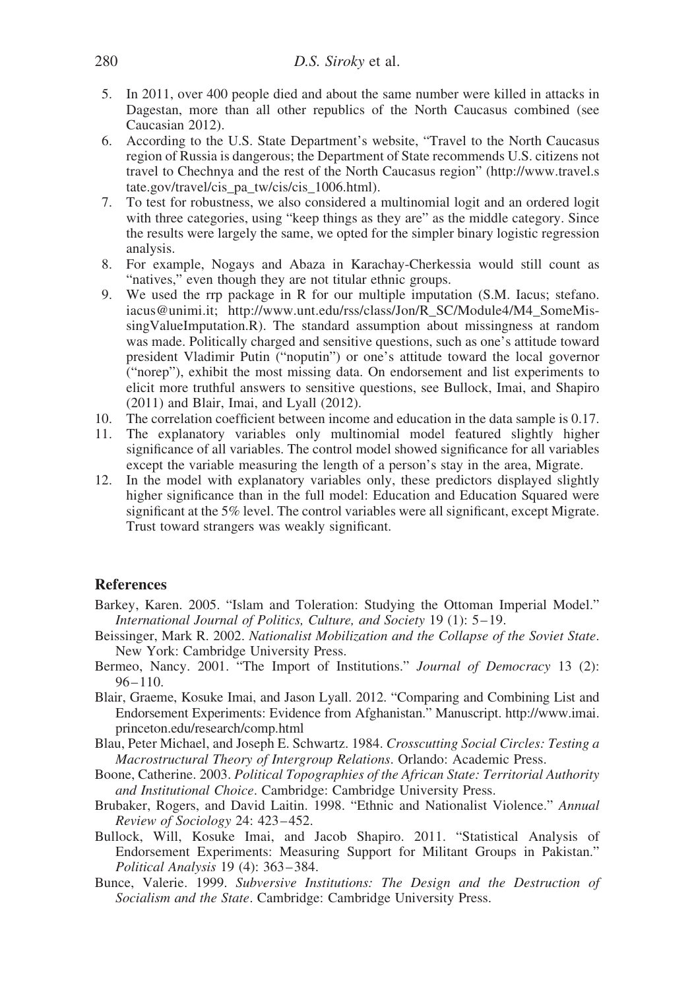- 5. In 2011, over 400 people died and about the same number were killed in attacks in Dagestan, more than all other republics of the North Caucasus combined (see Caucasian 2012).
- 6. According to the U.S. State Department's website, "Travel to the North Caucasus region of Russia is dangerous; the Department of State recommends U.S. citizens not travel to Chechnya and the rest of the North Caucasus region" ([http://www.travel.s](http://www.travel.state.gov/travel/cis_pa_tw/cis/cis_1006.html) [tate.gov/travel/cis\\_pa\\_tw/cis/cis\\_1006.html\)](http://www.travel.state.gov/travel/cis_pa_tw/cis/cis_1006.html).
- 7. To test for robustness, we also considered a multinomial logit and an ordered logit with three categories, using "keep things as they are" as the middle category. Since the results were largely the same, we opted for the simpler binary logistic regression analysis.
- 8. For example, Nogays and Abaza in Karachay-Cherkessia would still count as "natives," even though they are not titular ethnic groups.
- 9. We used the rrp package in R for our multiple imputation (S.M. Iacus; stefano. iacus@unimi.it; http://www.unt.edu/rss/class/Jon/R\_SC/Module4/M4\_SomeMissingValueImputation.R). The standard assumption about missingness at random was made. Politically charged and sensitive questions, such as one's attitude toward president Vladimir Putin ("noputin") or one's attitude toward the local governor ("norep"), exhibit the most missing data. On endorsement and list experiments to elicit more truthful answers to sensitive questions, see Bullock, Imai, and Shapiro (2011) and Blair, Imai, and Lyall (2012).
- 10. The correlation coefficient between income and education in the data sample is 0.17.
- 11. The explanatory variables only multinomial model featured slightly higher significance of all variables. The control model showed significance for all variables except the variable measuring the length of a person's stay in the area, Migrate.
- 12. In the model with explanatory variables only, these predictors displayed slightly higher significance than in the full model: Education and Education Squared were significant at the 5% level. The control variables were all significant, except Migrate. Trust toward strangers was weakly significant.

#### **References**

- Barkey, Karen. 2005. "Islam and Toleration: Studying the Ottoman Imperial Model." International Journal of Politics, Culture, and Society 19 (1): 5 –19.
- Beissinger, Mark R. 2002. Nationalist Mobilization and the Collapse of the Soviet State. New York: Cambridge University Press.
- Bermeo, Nancy. 2001. "The Import of Institutions." Journal of Democracy 13 (2):  $96 - 110$ .
- Blair, Graeme, Kosuke Imai, and Jason Lyall. 2012. "Comparing and Combining List and Endorsement Experiments: Evidence from Afghanistan." Manuscript. [http://www.imai.](http://www.imai.princeton.edu/research/comp.html) [princeton.edu/research/comp.html](http://www.imai.princeton.edu/research/comp.html)
- Blau, Peter Michael, and Joseph E. Schwartz. 1984. Crosscutting Social Circles: Testing a Macrostructural Theory of Intergroup Relations. Orlando: Academic Press.
- Boone, Catherine. 2003. Political Topographies of the African State: Territorial Authority and Institutional Choice. Cambridge: Cambridge University Press.
- Brubaker, Rogers, and David Laitin. 1998. "Ethnic and Nationalist Violence." Annual Review of Sociology 24: 423– 452.
- Bullock, Will, Kosuke Imai, and Jacob Shapiro. 2011. "Statistical Analysis of Endorsement Experiments: Measuring Support for Militant Groups in Pakistan." Political Analysis 19 (4): 363– 384.
- Bunce, Valerie. 1999. Subversive Institutions: The Design and the Destruction of Socialism and the State. Cambridge: Cambridge University Press.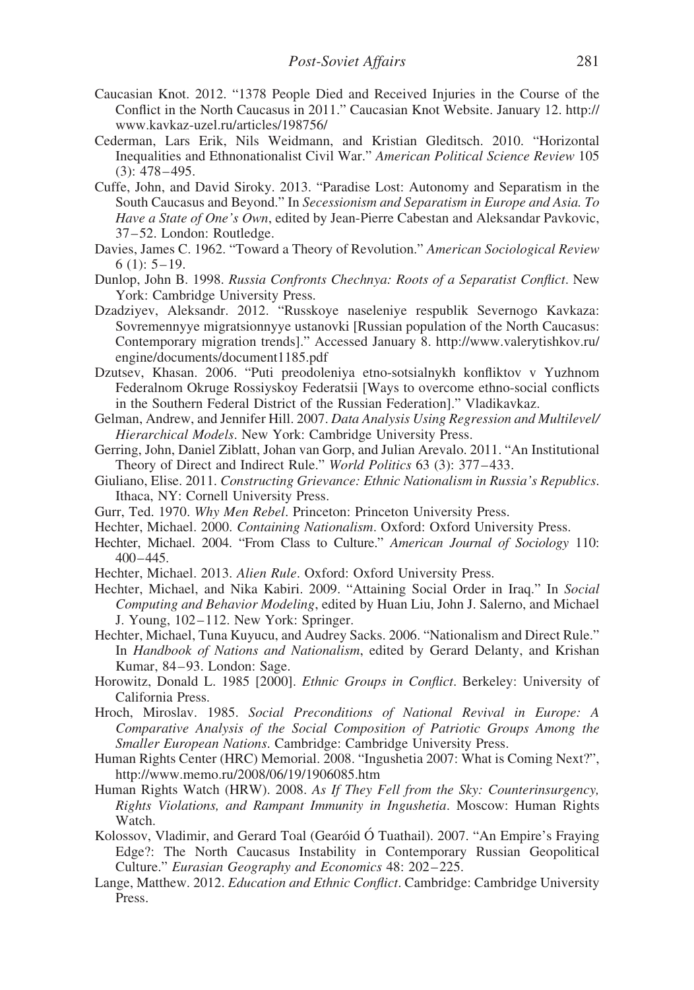- Caucasian Knot. 2012. "1378 People Died and Received Injuries in the Course of the Conflict in the North Caucasus in 2011." Caucasian Knot Website. January 12. [http://](http://www.kavkaz-uzel.ru/articles/198756/) [www.kavkaz-uzel.ru/articles/198756/](http://www.kavkaz-uzel.ru/articles/198756/)
- Cederman, Lars Erik, Nils Weidmann, and Kristian Gleditsch. 2010. "Horizontal Inequalities and Ethnonationalist Civil War." American Political Science Review 105  $(3): 478 - 495.$
- Cuffe, John, and David Siroky. 2013. "Paradise Lost: Autonomy and Separatism in the South Caucasus and Beyond." In Secessionism and Separatism in Europe and Asia. To Have a State of One's Own, edited by Jean-Pierre Cabestan and Aleksandar Pavkovic, 37 –52. London: Routledge.
- Davies, James C. 1962. "Toward a Theory of Revolution." American Sociological Review  $6(1): 5-19.$
- Dunlop, John B. 1998. Russia Confronts Chechnya: Roots of a Separatist Conflict. New York: Cambridge University Press.
- Dzadziyev, Aleksandr. 2012. "Russkoye naseleniye respublik Severnogo Kavkaza: Sovremennyye migratsionnyye ustanovki [Russian population of the North Caucasus: Contemporary migration trends]." Accessed January 8. [http://www.valerytishkov.ru/](http://www.valerytishkov.ru/engine/documents/document1185.pdf) [engine/documents/document1185.pdf](http://www.valerytishkov.ru/engine/documents/document1185.pdf)
- Dzutsev, Khasan. 2006. "Puti preodoleniya etno-sotsialnykh konfliktov v Yuzhnom Federalnom Okruge Rossiyskoy Federatsii [Ways to overcome ethno-social conflicts in the Southern Federal District of the Russian Federation]." Vladikavkaz.
- Gelman, Andrew, and Jennifer Hill. 2007. Data Analysis Using Regression and Multilevel/ Hierarchical Models. New York: Cambridge University Press.
- Gerring, John, Daniel Ziblatt, Johan van Gorp, and Julian Arevalo. 2011. "An Institutional Theory of Direct and Indirect Rule." World Politics 63 (3): 377 –433.
- Giuliano, Elise. 2011. Constructing Grievance: Ethnic Nationalism in Russia's Republics. Ithaca, NY: Cornell University Press.
- Gurr, Ted. 1970. Why Men Rebel. Princeton: Princeton University Press.
- Hechter, Michael. 2000. Containing Nationalism. Oxford: Oxford University Press.
- Hechter, Michael. 2004. "From Class to Culture." American Journal of Sociology 110: 400–445.
- Hechter, Michael. 2013. Alien Rule. Oxford: Oxford University Press.
- Hechter, Michael, and Nika Kabiri. 2009. "Attaining Social Order in Iraq." In Social Computing and Behavior Modeling, edited by Huan Liu, John J. Salerno, and Michael J. Young, 102–112. New York: Springer.
- Hechter, Michael, Tuna Kuyucu, and Audrey Sacks. 2006. "Nationalism and Direct Rule." In Handbook of Nations and Nationalism, edited by Gerard Delanty, and Krishan Kumar, 84–93. London: Sage.
- Horowitz, Donald L. 1985 [2000]. Ethnic Groups in Conflict. Berkeley: University of California Press.
- Hroch, Miroslav. 1985. Social Preconditions of National Revival in Europe: A Comparative Analysis of the Social Composition of Patriotic Groups Among the Smaller European Nations. Cambridge: Cambridge University Press.
- Human Rights Center (HRC) Memorial. 2008. "Ingushetia 2007: What is Coming Next?", <http://www.memo.ru/2008/06/19/1906085.htm>
- Human Rights Watch (HRW). 2008. As If They Fell from the Sky: Counterinsurgency, Rights Violations, and Rampant Immunity in Ingushetia. Moscow: Human Rights Watch.
- Kolossov, Vladimir, and Gerard Toal (Gearóid Ó Tuathail). 2007. "An Empire's Fraying Edge?: The North Caucasus Instability in Contemporary Russian Geopolitical Culture." Eurasian Geography and Economics 48: 202 –225.
- Lange, Matthew. 2012. Education and Ethnic Conflict. Cambridge: Cambridge University Press.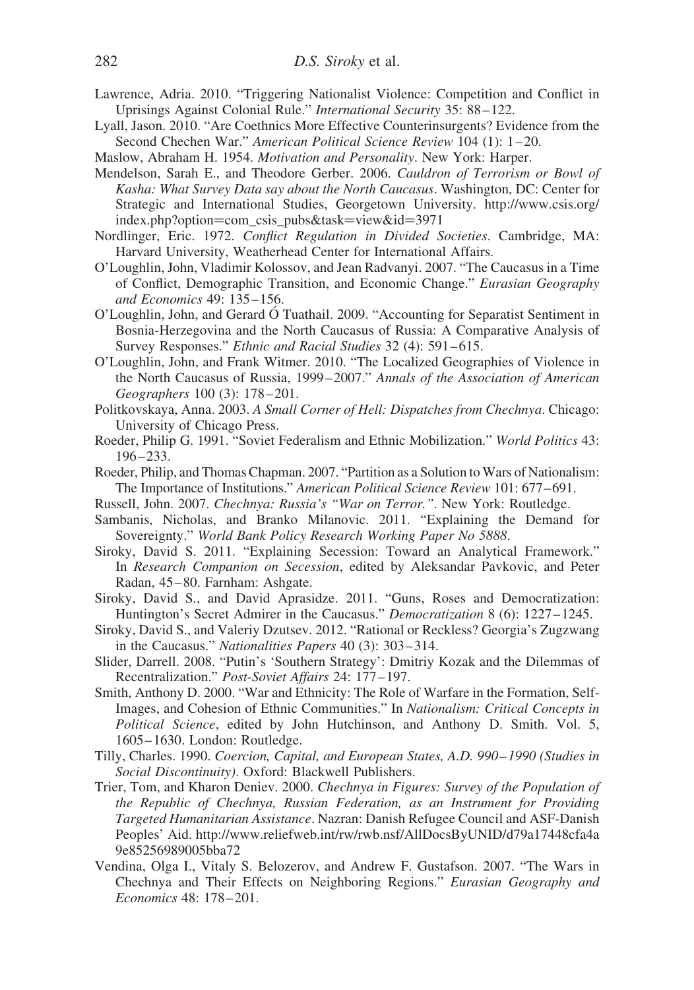- Lawrence, Adria. 2010. "Triggering Nationalist Violence: Competition and Conflict in Uprisings Against Colonial Rule." International Security 35: 88 –122.
- Lyall, Jason. 2010. "Are Coethnics More Effective Counterinsurgents? Evidence from the Second Chechen War." American Political Science Review 104 (1): 1 – 20.
- Maslow, Abraham H. 1954. Motivation and Personality. New York: Harper.
- Mendelson, Sarah E., and Theodore Gerber. 2006. Cauldron of Terrorism or Bowl of Kasha: What Survey Data say about the North Caucasus. Washington, DC: Center for Strategic and International Studies, Georgetown University. [http://www.csis.org/](http://www.csis.org/index.php?option=com_csis_pubs&task=view&id=3971) index.php?option=[com\\_csis\\_pubs&task](http://www.csis.org/index.php?option=com_csis_pubs&task=view&id=3971)=view&id=3971
- Nordlinger, Eric. 1972. Conflict Regulation in Divided Societies. Cambridge, MA: Harvard University, Weatherhead Center for International Affairs.
- O'Loughlin, John, Vladimir Kolossov, and Jean Radvanyi. 2007. "The Caucasus in a Time of Conflict, Demographic Transition, and Economic Change." Eurasian Geography and Economics 49: 135 –156.
- O'Loughlin, John, and Gerard O´ Tuathail. 2009. "Accounting for Separatist Sentiment in Bosnia-Herzegovina and the North Caucasus of Russia: A Comparative Analysis of Survey Responses." *Ethnic and Racial Studies* 32 (4): 591–615.
- O'Loughlin, John, and Frank Witmer. 2010. "The Localized Geographies of Violence in the North Caucasus of Russia, 1999–2007." Annals of the Association of American Geographers 100 (3): 178 – 201.
- Politkovskaya, Anna. 2003. A Small Corner of Hell: Dispatches from Chechnya. Chicago: University of Chicago Press.
- Roeder, Philip G. 1991. "Soviet Federalism and Ethnic Mobilization." World Politics 43:  $196 - 233.$
- Roeder, Philip, and Thomas Chapman. 2007. "Partition as a Solution to Wars of Nationalism: The Importance of Institutions." American Political Science Review 101: 677–691.
- Russell, John. 2007. Chechnya: Russia's "War on Terror.". New York: Routledge.
- Sambanis, Nicholas, and Branko Milanovic. 2011. "Explaining the Demand for Sovereignty." World Bank Policy Research Working Paper No 5888.
- Siroky, David S. 2011. "Explaining Secession: Toward an Analytical Framework." In Research Companion on Secession, edited by Aleksandar Pavkovic, and Peter Radan, 45 –80. Farnham: Ashgate.
- Siroky, David S., and David Aprasidze. 2011. "Guns, Roses and Democratization: Huntington's Secret Admirer in the Caucasus." Democratization 8 (6): 1227– 1245.
- Siroky, David S., and Valeriy Dzutsev. 2012. "Rational or Reckless? Georgia's Zugzwang in the Caucasus." Nationalities Papers 40 (3): 303-314.
- Slider, Darrell. 2008. "Putin's 'Southern Strategy': Dmitriy Kozak and the Dilemmas of Recentralization." Post-Soviet Affairs 24: 177 –197.
- Smith, Anthony D. 2000. "War and Ethnicity: The Role of Warfare in the Formation, Self-Images, and Cohesion of Ethnic Communities." In Nationalism: Critical Concepts in Political Science, edited by John Hutchinson, and Anthony D. Smith. Vol. 5, 1605 –1630. London: Routledge.
- Tilly, Charles. 1990. Coercion, Capital, and European States, A.D. 990– 1990 (Studies in Social Discontinuity). Oxford: Blackwell Publishers.
- Trier, Tom, and Kharon Deniev. 2000. Chechnya in Figures: Survey of the Population of the Republic of Chechnya, Russian Federation, as an Instrument for Providing Targeted Humanitarian Assistance. Nazran: Danish Refugee Council and ASF-Danish Peoples' Aid. [http://www.reliefweb.int/rw/rwb.nsf/AllDocsByUNID/d79a17448cfa4a](http://www.reliefweb.int/rw/rwb.nsf/AllDocsByUNID/d79a17448cfa4a9e85256989005bba72) [9e85256989005bba72](http://www.reliefweb.int/rw/rwb.nsf/AllDocsByUNID/d79a17448cfa4a9e85256989005bba72)
- Vendina, Olga I., Vitaly S. Belozerov, and Andrew F. Gustafson. 2007. "The Wars in Chechnya and Their Effects on Neighboring Regions." Eurasian Geography and Economics 48: 178 –201.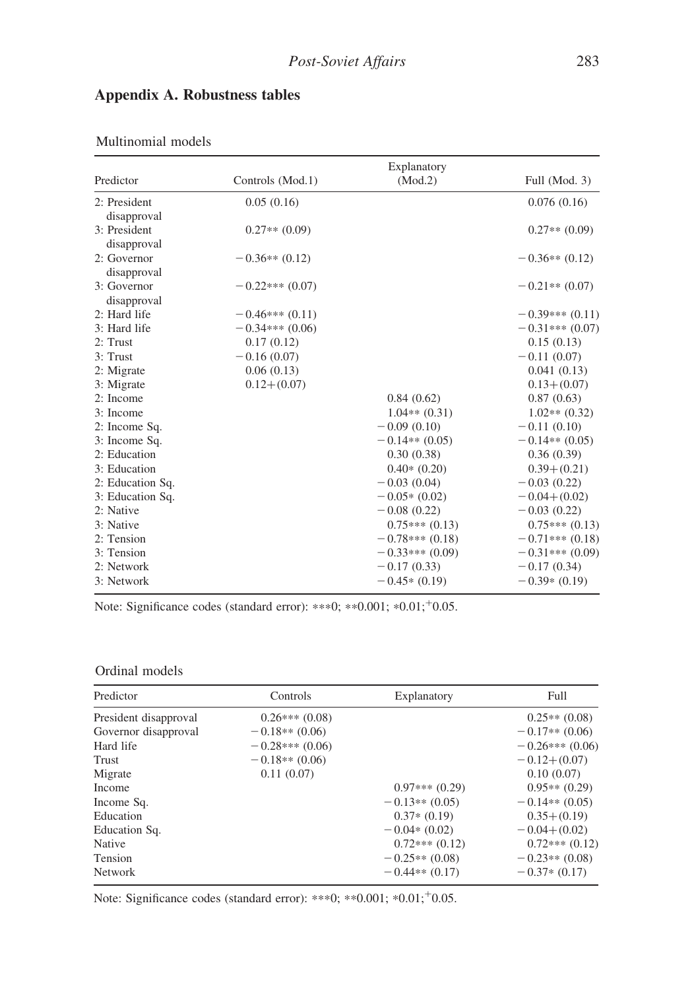| Predictor        | Controls (Mod.1) | Explanatory<br>(Mod.2) | Full (Mod. 3)     |
|------------------|------------------|------------------------|-------------------|
|                  |                  |                        |                   |
| 2: President     | 0.05(0.16)       |                        | 0.076(0.16)       |
| disapproval      |                  |                        |                   |
| 3: President     | $0.27**$ (0.09)  |                        | $0.27**$ (0.09)   |
| disapproval      |                  |                        |                   |
| 2: Governor      | $-0.36**$ (0.12) |                        | $-0.36**$ (0.12)  |
| disapproval      |                  |                        |                   |
| 3: Governor      | $-0.22***(0.07)$ |                        | $-0.21**$ (0.07)  |
| disapproval      |                  |                        |                   |
| 2: Hard life     | $-0.46***(0.11)$ |                        | $-0.39***(0.11)$  |
| 3: Hard life     | $-0.34***(0.06)$ |                        | $-0.31***(0.07)$  |
| 2: Trust         | 0.17(0.12)       |                        | 0.15(0.13)        |
| 3: Trust         | $-0.16(0.07)$    |                        | $-0.11(0.07)$     |
| 2: Migrate       | 0.06(0.13)       |                        | 0.041(0.13)       |
| 3: Migrate       | $0.12+(0.07)$    |                        | $0.13 + (0.07)$   |
| 2: Income        |                  | 0.84(0.62)             | 0.87(0.63)        |
| 3: Income        |                  | $1.04**$ (0.31)        | $1.02**$ (0.32)   |
| 2: Income Sq.    |                  | $-0.09(0.10)$          | $-0.11(0.10)$     |
| 3: Income Sq.    |                  | $-0.14**$ (0.05)       | $-0.14**$ (0.05)  |
| 2: Education     |                  | 0.30(0.38)             | 0.36(0.39)        |
| 3: Education     |                  | $0.40*(0.20)$          | $0.39 + (0.21)$   |
| 2: Education Sq. |                  | $-0.03(0.04)$          | $-0.03(0.22)$     |
| 3: Education Sq. |                  | $-0.05*(0.02)$         | $-0.04 + (0.02)$  |
| 2: Native        |                  | $-0.08(0.22)$          | $-0.03(0.22)$     |
| 3: Native        |                  | $0.75***(0.13)$        | $0.75***(0.13)$   |
| 2: Tension       |                  | $-0.78***$ (0.18)      | $-0.71***$ (0.18) |
| 3: Tension       |                  | $-0.33***(0.09)$       | $-0.31***(0.09)$  |
| 2: Network       |                  | $-0.17(0.33)$          | $-0.17(0.34)$     |
| 3: Network       |                  | $-0.45*(0.19)$         | $-0.39*(0.19)$    |
|                  |                  |                        |                   |

# Appendix A. Robustness tables

Multinomial models

Note: Significance codes (standard error): \*\*\*0; \*\*0.001; \*0.01; +0.05.

#### Ordinal models

| Predictor             | Controls         | Explanatory      | Full             |
|-----------------------|------------------|------------------|------------------|
| President disapproval | $0.26***(0.08)$  |                  | $0.25**$ (0.08)  |
| Governor disapproval  | $-0.18**$ (0.06) |                  | $-0.17**$ (0.06) |
| Hard life             | $-0.28***(0.06)$ |                  | $-0.26***(0.06)$ |
| Trust                 | $-0.18**$ (0.06) |                  | $-0.12+(0.07)$   |
| Migrate               | 0.11(0.07)       |                  | 0.10(0.07)       |
| Income                |                  | $0.97***(0.29)$  | $0.95**$ (0.29)  |
| Income Sq.            |                  | $-0.13**$ (0.05) | $-0.14**$ (0.05) |
| Education             |                  | $0.37*(0.19)$    | $0.35 + (0.19)$  |
| Education Sq.         |                  | $-0.04*(0.02)$   | $-0.04 + (0.02)$ |
| Native                |                  | $0.72***(0.12)$  | $0.72***(0.12)$  |
| Tension               |                  | $-0.25**$ (0.08) | $-0.23**$ (0.08) |
| <b>Network</b>        |                  | $-0.44**$ (0.17) | $-0.37*(0.17)$   |

Note: Significance codes (standard error): \*\*\*0; \*\*0.001; \*0.01; +0.05.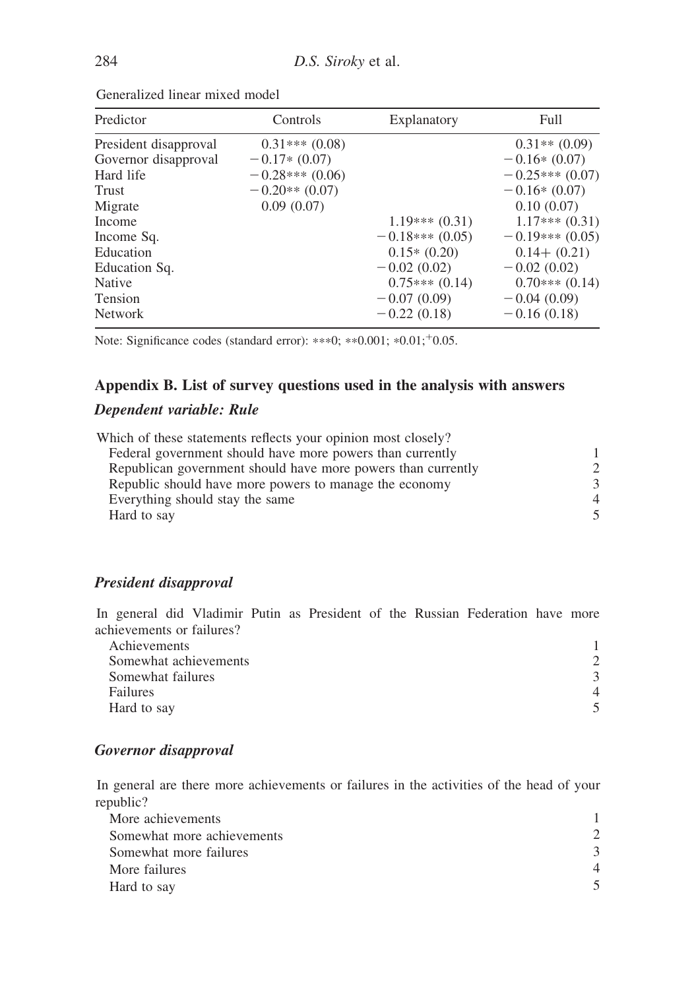| Predictor             | Controls         | Explanatory      | Full             |
|-----------------------|------------------|------------------|------------------|
| President disapproval | $0.31***(0.08)$  |                  | $0.31**$ (0.09)  |
| Governor disapproval  | $-0.17*(0.07)$   |                  | $-0.16*(0.07)$   |
| Hard life             | $-0.28***(0.06)$ |                  | $-0.25***(0.07)$ |
| Trust                 | $-0.20**$ (0.07) |                  | $-0.16*(0.07)$   |
| Migrate               | 0.09(0.07)       |                  | 0.10(0.07)       |
| Income                |                  | $1.19***(0.31)$  | $1.17***(0.31)$  |
| Income Sq.            |                  | $-0.18***(0.05)$ | $-0.19***(0.05)$ |
| Education             |                  | $0.15*(0.20)$    | $0.14 + (0.21)$  |
| Education Sq.         |                  | $-0.02(0.02)$    | $-0.02(0.02)$    |
| <b>Native</b>         |                  | $0.75***(0.14)$  | $0.70***(0.14)$  |
| Tension               |                  | $-0.07(0.09)$    | $-0.04(0.09)$    |
| <b>Network</b>        |                  | $-0.22(0.18)$    | $-0.16(0.18)$    |

Generalized linear mixed model

Note: Significance codes (standard error): \*\*\*0; \*\*0.001; \*0.01; +0.05.

### Appendix B. List of survey questions used in the analysis with answers

### Dependent variable: Rule

| Which of these statements reflects your opinion most closely? |                |
|---------------------------------------------------------------|----------------|
| Federal government should have more powers than currently     |                |
| Republican government should have more powers than currently  | $\mathcal{D}$  |
| Republic should have more powers to manage the economy        | 3              |
| Everything should stay the same                               | $\overline{4}$ |
| Hard to say                                                   | 5              |

### President disapproval

In general did Vladimir Putin as President of the Russian Federation have more achievements or failures?

| Achievements          |              |
|-----------------------|--------------|
| Somewhat achievements |              |
| Somewhat failures     | $\mathbf{R}$ |
| Failures              | 4            |
| Hard to say           |              |

#### Governor disapproval

In general are there more achievements or failures in the activities of the head of your republic?

| More achievements          |           |
|----------------------------|-----------|
| Somewhat more achievements |           |
| Somewhat more failures     |           |
| More failures              | $\Lambda$ |
| Hard to say                |           |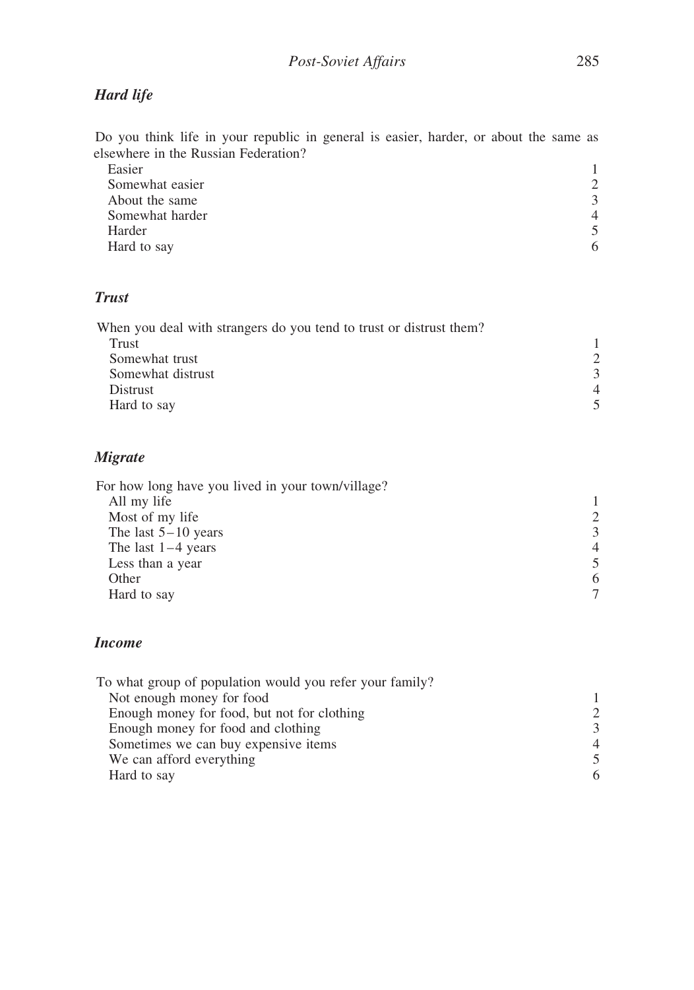# Hard life

Do you think life in your republic in general is easier, harder, or about the same as elsewhere in the Russian Federation?

| Easier          |               |
|-----------------|---------------|
| Somewhat easier | $\mathcal{D}$ |
| About the same  | 3             |
| Somewhat harder | $\Delta$      |
| Harder          |               |
| Hard to say     | 6             |

# Trust

| When you deal with strangers do you tend to trust or distrust them? |               |
|---------------------------------------------------------------------|---------------|
| Trust                                                               |               |
| Somewhat trust                                                      | $\mathcal{D}$ |
| Somewhat distrust                                                   | 3             |
| <b>Distrust</b>                                                     |               |
| Hard to say                                                         |               |
|                                                                     |               |

### Migrate

| For how long have you lived in your town/village? |                |
|---------------------------------------------------|----------------|
| All my life                                       |                |
| Most of my life                                   | $\mathfrak{D}$ |
| The last $5-10$ years                             | 3              |
| The last $1-4$ years                              | 4              |
| Less than a year                                  |                |
| Other                                             | 6              |
| Hard to say                                       |                |
|                                                   |                |

### Income

| To what group of population would you refer your family? |                             |
|----------------------------------------------------------|-----------------------------|
| Not enough money for food                                |                             |
| Enough money for food, but not for clothing              | $\mathcal{D}_{\mathcal{L}}$ |
| Enough money for food and clothing                       | $\mathcal{E}$               |
| Sometimes we can buy expensive items                     | $\overline{4}$              |
| We can afford everything                                 | 5                           |
| Hard to say                                              | 6                           |
|                                                          |                             |